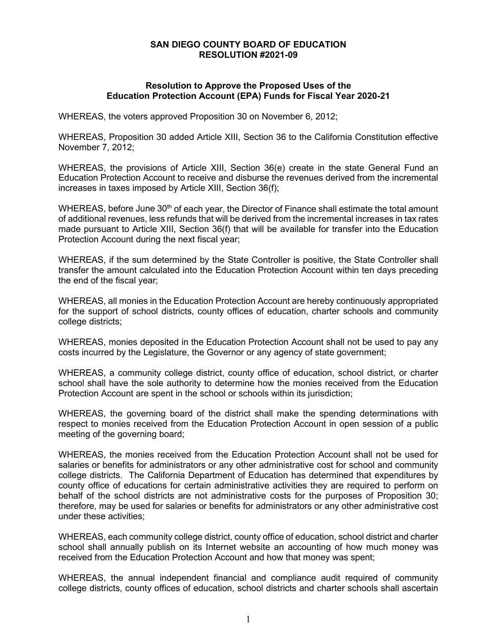## **SAN DIEGO COUNTY BOARD OF EDUCATION RESOLUTION #2021-09**

## **Resolution to Approve the Proposed Uses of the Education Protection Account (EPA) Funds for Fiscal Year 2020-21**

WHEREAS, the voters approved Proposition 30 on November 6, 2012;

WHEREAS, Proposition 30 added Article XIII, Section 36 to the California Constitution effective November 7, 2012;

WHEREAS, the provisions of Article XIII, Section 36(e) create in the state General Fund an Education Protection Account to receive and disburse the revenues derived from the incremental increases in taxes imposed by Article XIII, Section 36(f);

WHEREAS, before June  $30<sup>th</sup>$  of each year, the Director of Finance shall estimate the total amount of additional revenues, less refunds that will be derived from the incremental increases in tax rates made pursuant to Article XIII, Section 36(f) that will be available for transfer into the Education Protection Account during the next fiscal year;

WHEREAS, if the sum determined by the State Controller is positive, the State Controller shall transfer the amount calculated into the Education Protection Account within ten days preceding the end of the fiscal year;

WHEREAS, all monies in the Education Protection Account are hereby continuously appropriated for the support of school districts, county offices of education, charter schools and community college districts;

WHEREAS, monies deposited in the Education Protection Account shall not be used to pay any costs incurred by the Legislature, the Governor or any agency of state government;

WHEREAS, a community college district, county office of education, school district, or charter school shall have the sole authority to determine how the monies received from the Education Protection Account are spent in the school or schools within its jurisdiction;

WHEREAS, the governing board of the district shall make the spending determinations with respect to monies received from the Education Protection Account in open session of a public meeting of the governing board;

WHEREAS, the monies received from the Education Protection Account shall not be used for salaries or benefits for administrators or any other administrative cost for school and community college districts. The California Department of Education has determined that expenditures by county office of educations for certain administrative activities they are required to perform on behalf of the school districts are not administrative costs for the purposes of Proposition 30; therefore, may be used for salaries or benefits for administrators or any other administrative cost under these activities;

WHEREAS, each community college district, county office of education, school district and charter school shall annually publish on its Internet website an accounting of how much money was received from the Education Protection Account and how that money was spent;

WHEREAS, the annual independent financial and compliance audit required of community college districts, county offices of education, school districts and charter schools shall ascertain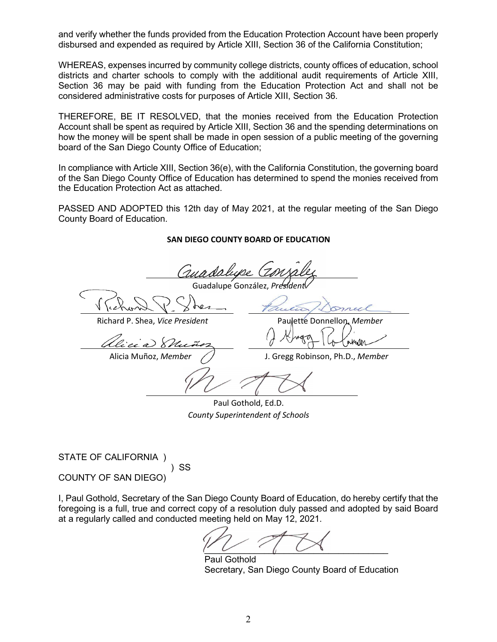and verify whether the funds provided from the Education Protection Account have been properly disbursed and expended as required by Article XIII, Section 36 of the California Constitution;

WHEREAS, expenses incurred by community college districts, county offices of education, school districts and charter schools to comply with the additional audit requirements of Article XIII, Section 36 may be paid with funding from the Education Protection Act and shall not be considered administrative costs for purposes of Article XIII, Section 36.

THEREFORE, BE IT RESOLVED, that the monies received from the Education Protection Account shall be spent as required by Article XIII, Section 36 and the spending determinations on how the money will be spent shall be made in open session of a public meeting of the governing board of the San Diego County Office of Education;

In compliance with Article XIII, Section 36(e), with the California Constitution, the governing board of the San Diego County Office of Education has determined to spend the monies received from the Education Protection Act as attached.

PASSED AND ADOPTED this 12th day of May 2021, at the regular meeting of the San Diego County Board of Education.

## **SAN DIEGO COUNTY BOARD OF EDUCATION**

(sunda Guadalupe González, Pr Richard P. Shea, *Vice President* Paulette Donnellon, *Member* √u√lm Alicia Muñoz, *Member* J. Gregg Robinson, Ph.D., *Member*

Paul Gothold, Ed.D. *County Superintendent of Schools*

STATE OF CALIFORNIA ) ) SS COUNTY OF SAN DIEGO)

I, Paul Gothold, Secretary of the San Diego County Board of Education, do hereby certify that the foregoing is a full, true and correct copy of a resolution duly passed and adopted by said Board at a regularly called and conducted meeting held on May 12, 2021.

 $\overline{\phantom{a}}$ 

Paul Gothold Secretary, San Diego County Board of Education